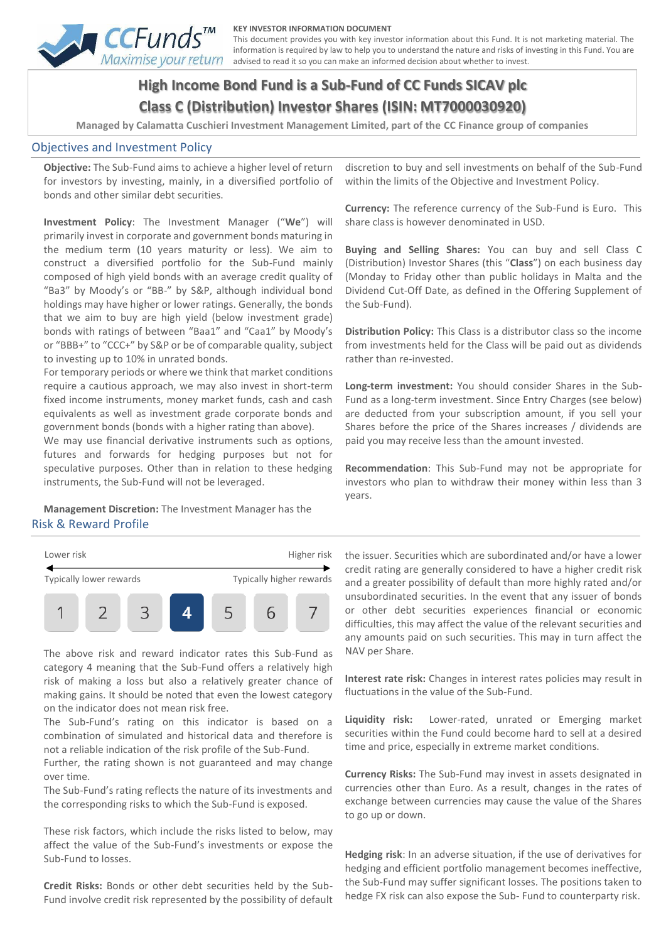

#### **KEY INVESTOR INFORMATION DOCUMENT**

This document provides you with key investor information about this Fund. It is not marketing material. The information is required by law to help you to understand the nature and risks of investing in this Fund. You are advised to read it so you can make an informed decision about whether to invest.

# **High Income Bond Fund is a Sub-Fund of CC Funds SICAV plc Class C (Distribution) Investor Shares (ISIN: MT7000030920)**

**Managed by Calamatta Cuschieri Investment Management Limited, part of the CC Finance group of companies**

#### Objectives and Investment Policy

**Objective:** The Sub-Fund aims to achieve a higher level of return for investors by investing, mainly, in a diversified portfolio of bonds and other similar debt securities.

**Investment Policy**: The Investment Manager ("**We**") will primarily invest in corporate and government bonds maturing in the medium term (10 years maturity or less). We aim to construct a diversified portfolio for the Sub-Fund mainly composed of high yield bonds with an average credit quality of "Ba3" by Moody's or "BB-" by S&P, although individual bond holdings may have higher or lower ratings. Generally, the bonds that we aim to buy are high yield (below investment grade) bonds with ratings of between "Baa1" and "Caa1" by Moody's or "BBB+" to "CCC+" by S&P or be of comparable quality, subject to investing up to 10% in unrated bonds.

For temporary periods or where we think that market conditions require a cautious approach, we may also invest in short-term fixed income instruments, money market funds, cash and cash equivalents as well as investment grade corporate bonds and government bonds (bonds with a higher rating than above).

We may use financial derivative instruments such as options, futures and forwards for hedging purposes but not for speculative purposes. Other than in relation to these hedging instruments, the Sub-Fund will not be leveraged.

**Management Discretion:** The Investment Manager has the Risk & Reward Profile



The above risk and reward indicator rates this Sub-Fund as category 4 meaning that the Sub-Fund offers a relatively high risk of making a loss but also a relatively greater chance of making gains. It should be noted that even the lowest category on the indicator does not mean risk free.

The Sub-Fund's rating on this indicator is based on a combination of simulated and historical data and therefore is not a reliable indication of the risk profile of the Sub-Fund.

Further, the rating shown is not guaranteed and may change over time.

The Sub-Fund's rating reflects the nature of its investments and the corresponding risks to which the Sub-Fund is exposed.

These risk factors, which include the risks listed to below, may affect the value of the Sub-Fund's investments or expose the Sub-Fund to losses.

**Credit Risks:** Bonds or other debt securities held by the Sub-Fund involve credit risk represented by the possibility of default discretion to buy and sell investments on behalf of the Sub-Fund within the limits of the Objective and Investment Policy.

**Currency:** The reference currency of the Sub-Fund is Euro. This share class is however denominated in USD.

**Buying and Selling Shares:** You can buy and sell Class C (Distribution) Investor Shares (this "**Class**") on each business day (Monday to Friday other than public holidays in Malta and the Dividend Cut-Off Date, as defined in the Offering Supplement of the Sub-Fund).

**Distribution Policy:** This Class is a distributor class so the income from investments held for the Class will be paid out as dividends rather than re-invested.

**Long-term investment:** You should consider Shares in the Sub-Fund as a long-term investment. Since Entry Charges (see below) are deducted from your subscription amount, if you sell your Shares before the price of the Shares increases / dividends are paid you may receive less than the amount invested.

**Recommendation**: This Sub-Fund may not be appropriate for investors who plan to withdraw their money within less than 3 years.

the issuer. Securities which are subordinated and/or have a lower credit rating are generally considered to have a higher credit risk and a greater possibility of default than more highly rated and/or unsubordinated securities. In the event that any issuer of bonds or other debt securities experiences financial or economic difficulties, this may affect the value of the relevant securities and any amounts paid on such securities. This may in turn affect the NAV per Share.

**Interest rate risk:** Changes in interest rates policies may result in fluctuations in the value of the Sub-Fund.

**Liquidity risk:** Lower-rated, unrated or Emerging market securities within the Fund could become hard to sell at a desired time and price, especially in extreme market conditions.

**Currency Risks:** The Sub-Fund may invest in assets designated in currencies other than Euro. As a result, changes in the rates of exchange between currencies may cause the value of the Shares to go up or down.

**Hedging risk**: In an adverse situation, if the use of derivatives for hedging and efficient portfolio management becomes ineffective, the Sub-Fund may suffer significant losses. The positions taken to hedge FX risk can also expose the Sub- Fund to counterparty risk.